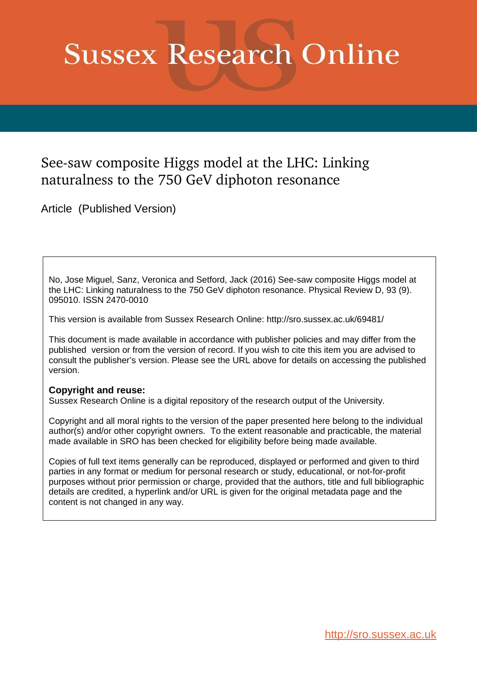# **Sussex Research Online**

# See-saw composite Higgs model at the LHC: Linking naturalness to the 750 GeV diphoton resonance

Article (Published Version)

No, Jose Miguel, Sanz, Veronica and Setford, Jack (2016) See-saw composite Higgs model at the LHC: Linking naturalness to the 750 GeV diphoton resonance. Physical Review D, 93 (9). 095010. ISSN 2470-0010

This version is available from Sussex Research Online: http://sro.sussex.ac.uk/69481/

This document is made available in accordance with publisher policies and may differ from the published version or from the version of record. If you wish to cite this item you are advised to consult the publisher's version. Please see the URL above for details on accessing the published version.

## **Copyright and reuse:**

Sussex Research Online is a digital repository of the research output of the University.

Copyright and all moral rights to the version of the paper presented here belong to the individual author(s) and/or other copyright owners. To the extent reasonable and practicable, the material made available in SRO has been checked for eligibility before being made available.

Copies of full text items generally can be reproduced, displayed or performed and given to third parties in any format or medium for personal research or study, educational, or not-for-profit purposes without prior permission or charge, provided that the authors, title and full bibliographic details are credited, a hyperlink and/or URL is given for the original metadata page and the content is not changed in any way.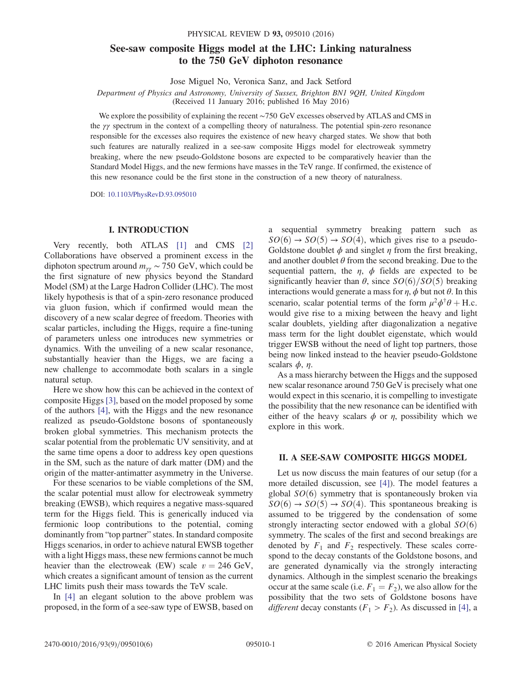### See-saw composite Higgs model at the LHC: Linking naturalness to the 750 GeV diphoton resonance

Jose Miguel No, Veronica Sanz, and Jack Setford

Department of Physics and Astronomy, University of Sussex, Brighton BN1 9QH, United Kingdom (Received 11 January 2016; published 16 May 2016)

We explore the possibility of explaining the recent ∼750 GeV excesses observed by ATLAS and CMS in the γγ spectrum in the context of a compelling theory of naturalness. The potential spin-zero resonance responsible for the excesses also requires the existence of new heavy charged states. We show that both such features are naturally realized in a see-saw composite Higgs model for electroweak symmetry breaking, where the new pseudo-Goldstone bosons are expected to be comparatively heavier than the Standard Model Higgs, and the new fermions have masses in the TeV range. If confirmed, the existence of this new resonance could be the first stone in the construction of a new theory of naturalness.

DOI: [10.1103/PhysRevD.93.095010](http://dx.doi.org/10.1103/PhysRevD.93.095010)

#### I. INTRODUCTION

<span id="page-1-1"></span><span id="page-1-0"></span>Very recently, both ATLAS [\[1\]](#page-4-0) and CMS [\[2\]](#page-4-1) Collaborations have observed a prominent excess in the diphoton spectrum around  $m_{\gamma\gamma} \sim 750 \text{ GeV}$ , which could be the first signature of new physics beyond the Standard Model (SM) at the Large Hadron Collider (LHC). The most likely hypothesis is that of a spin-zero resonance produced via gluon fusion, which if confirmed would mean the discovery of a new scalar degree of freedom. Theories with scalar particles, including the Higgs, require a fine-tuning of parameters unless one introduces new symmetries or dynamics. With the unveiling of a new scalar resonance, substantially heavier than the Higgs, we are facing a new challenge to accommodate both scalars in a single natural setup.

Here we show how this can be achieved in the context of composite Higgs [\[3\],](#page-4-2) based on the model proposed by some of the authors [\[4\],](#page-5-0) with the Higgs and the new resonance realized as pseudo-Goldstone bosons of spontaneously broken global symmetries. This mechanism protects the scalar potential from the problematic UV sensitivity, and at the same time opens a door to address key open questions in the SM, such as the nature of dark matter (DM) and the origin of the matter-antimatter asymmetry in the Universe.

<span id="page-1-3"></span><span id="page-1-2"></span>For these scenarios to be viable completions of the SM, the scalar potential must allow for electroweak symmetry breaking (EWSB), which requires a negative mass-squared term for the Higgs field. This is generically induced via fermionic loop contributions to the potential, coming dominantly from "top partner" states. In standard composite Higgs scenarios, in order to achieve natural EWSB together with a light Higgs mass, these new fermions cannot be much heavier than the electroweak (EW) scale  $v = 246$  GeV, which creates a significant amount of tension as the current LHC limits push their mass towards the TeV scale.

In [\[4\]](#page-5-0) an elegant solution to the above problem was proposed, in the form of a see-saw type of EWSB, based on a sequential symmetry breaking pattern such as  $SO(6) \rightarrow SO(5) \rightarrow SO(4)$ , which gives rise to a pseudo-Goldstone doublet  $\phi$  and singlet  $\eta$  from the first breaking, and another doublet  $\theta$  from the second breaking. Due to the sequential pattern, the  $\eta$ ,  $\phi$  fields are expected to be significantly heavier than  $\theta$ , since  $SO(6)/SO(5)$  breaking interactions would generate a mass for  $\eta$ ,  $\phi$  but not  $\theta$ . In this scenario, scalar potential terms of the form  $\mu^2 \phi^{\dagger} \theta + \text{H.c.}$ would give rise to a mixing between the heavy and light scalar doublets, yielding after diagonalization a negative mass term for the light doublet eigenstate, which would trigger EWSB without the need of light top partners, those being now linked instead to the heavier pseudo-Goldstone scalars  $\phi$ ,  $\eta$ .

As a mass hierarchy between the Higgs and the supposed new scalar resonance around 750 GeV is precisely what one would expect in this scenario, it is compelling to investigate the possibility that the new resonance can be identified with either of the heavy scalars  $\phi$  or  $\eta$ , possibility which we explore in this work.

#### II. A SEE-SAW COMPOSITE HIGGS MODEL

<span id="page-1-4"></span>Let us now discuss the main features of our setup (for a more detailed discussion, see [\[4\]](#page-5-0)). The model features a global  $SO(6)$  symmetry that is spontaneously broken via  $SO(6) \rightarrow SO(5) \rightarrow SO(4)$ . This spontaneous breaking is assumed to be triggered by the condensation of some strongly interacting sector endowed with a global  $SO(6)$ symmetry. The scales of the first and second breakings are denoted by  $F_1$  and  $F_2$  respectively. These scales correspond to the decay constants of the Goldstone bosons, and are generated dynamically via the strongly interacting dynamics. Although in the simplest scenario the breakings occur at the same scale (i.e.  $F_1 = F_2$ ), we also allow for the possibility that the two sets of Goldstone bosons have *different* decay constants  $(F_1 > F_2)$ . As discussed in [\[4\],](#page-5-0) a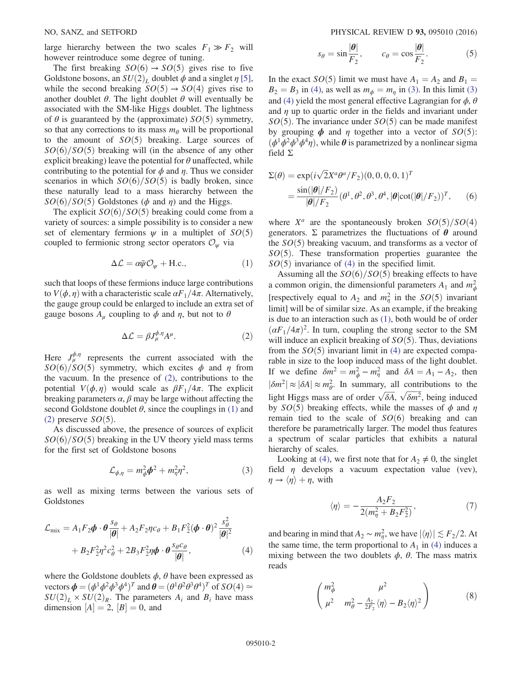large hierarchy between the two scales  $F_1 \gg F_2$  will however reintroduce some degree of tuning.

The first breaking  $SO(6) \rightarrow SO(5)$  gives rise to five Goldstone bosons, an  $SU(2)_L$  doublet  $\phi$  and a singlet  $\eta$  [\[5\]](#page-5-1), while the second breaking  $SO(5) \rightarrow SO(4)$  gives rise to another doublet  $\theta$ . The light doublet  $\theta$  will eventually be associated with the SM-like Higgs doublet. The lightness of  $\theta$  is guaranteed by the (approximate)  $SO(5)$  symmetry, so that any corrections to its mass  $m_{\theta}$  will be proportional to the amount of  $SO(5)$  breaking. Large sources of  $SO(6)/SO(5)$  breaking will (in the absence of any other explicit breaking) leave the potential for  $\theta$  unaffected, while contributing to the potential for  $\phi$  and  $\eta$ . Thus we consider scenarios in which  $SO(6)/SO(5)$  is badly broken, since these naturally lead to a mass hierarchy between the  $SO(6)/SO(5)$  Goldstones ( $\phi$  and  $\eta$ ) and the Higgs.

<span id="page-2-3"></span>The explicit  $SO(6)/SO(5)$  breaking could come from a variety of sources: a simple possibility is to consider a new set of elementary fermions  $\psi$  in a multiplet of  $SO(5)$ coupled to fermionic strong sector operators  $\mathcal{O}_{\psi}$  via

$$
\Delta \mathcal{L} = \alpha \bar{\psi} \mathcal{O}_{\psi} + \text{H.c.,}
$$
 (1)

such that loops of these fermions induce large contributions to  $V(\phi, \eta)$  with a characteristic scale  $\alpha F_1/4\pi$ . Alternatively, the gauge group could be enlarged to include an extra set of gauge bosons  $A_u$  coupling to  $\phi$  and  $\eta$ , but not to  $\theta$ 

$$
\Delta \mathcal{L} = \beta J_{\mu}^{\phi, \eta} A^{\mu}.
$$
 (2)

Here  $J_{\mu}^{\phi,\eta}$  represents the current associated with the  $SO(6)/SO(5)$  symmetry, which excites  $\phi$  and  $\eta$  from the vacuum. In the presence of [\(2\)](#page-1-0), contributions to the potential  $V(\phi, \eta)$  would scale as  $\beta F_1/4\pi$ . The explicit breaking parameters  $\alpha$ ,  $\beta$  may be large without affecting the second Goldstone doublet  $\theta$ , since the couplings in [\(1\)](#page-1-1) and [\(2\)](#page-1-0) preserve  $SO(5)$ .

<span id="page-2-4"></span>As discussed above, the presence of sources of explicit  $SO(6)/SO(5)$  breaking in the UV theory yield mass terms for the first set of Goldstone bosons

$$
\mathcal{L}_{\phi,\eta} = m_{\phi}^2 \phi^2 + m_{\eta}^2 \eta^2, \tag{3}
$$

as well as mixing terms between the various sets of Goldstones

$$
\mathcal{L}_{\text{mix}} = A_1 F_2 \phi \cdot \theta \frac{s_{\theta}}{|\theta|} + A_2 F_2 \eta c_{\theta} + B_1 F_2^2 (\phi \cdot \theta)^2 \frac{s_{\theta}^2}{|\theta|^2} + B_2 F_2^2 \eta^2 c_{\theta}^2 + 2 B_3 F_2^2 \eta \phi \cdot \theta \frac{s_{\theta} c_{\theta}}{|\theta|},
$$
\n(4)

<span id="page-2-0"></span>where the Goldstone doublets  $\phi$ ,  $\theta$  have been expressed as vectors  $\boldsymbol{\phi} = (\phi^1 \phi^2 \phi^3 \phi^4)^T$  and  $\boldsymbol{\theta} = (\theta^1 \theta^2 \theta^3 \theta^4)^T$  of  $SO(4) \approx$  $SU(2)_L \times SU(2)_R$ . The parameters  $A_i$  and  $B_i$  have mass dimension  $[A] = 2$ ,  $[B] = 0$ , and

$$
s_{\theta} = \sin \frac{|\theta|}{F_2}, \qquad c_{\theta} = \cos \frac{|\theta|}{F_2}.
$$
 (5)

In the exact  $SO(5)$  limit we must have  $A_1 = A_2$  and  $B_1 =$  $B_2 = B_3$  in [\(4\),](#page-1-2) as well as  $m_{\phi} = m_{\eta}$  in [\(3\).](#page-1-3) In this limit [\(3\)](#page-1-3) and [\(4\)](#page-1-2) yield the most general effective Lagrangian for  $\phi$ ,  $\theta$ and  $\eta$  up to quartic order in the fields and invariant under  $SO(5)$ . The invariance under  $SO(5)$  can be made manifest by grouping  $\phi$  and  $\eta$  together into a vector of  $SO(5)$ :  $(\phi^1 \phi^2 \phi^3 \phi^4 \eta)$ , while  $\theta$  is parametrized by a nonlinear sigma field Σ

<span id="page-2-1"></span>
$$
\Sigma(\theta) = \exp(i\sqrt{2}X^a\theta^a/F_2)(0,0,0,0,1)^T
$$
  
= 
$$
\frac{\sin(|\theta|/F_2)}{|\theta|/F_2}(\theta^1,\theta^2,\theta^3,\theta^4,|\theta|\cot(|\theta|/F_2))^T,
$$
 (6)

where  $X^a$  are the spontaneously broken  $SO(5)/SO(4)$ generators. Σ parametrizes the fluctuations of θ around the  $SO(5)$  breaking vacuum, and transforms as a vector of  $SO(5)$ . These transformation properties guarantee the  $SO(5)$  invariance of [\(4\)](#page-1-2) in the specified limit.

Assuming all the  $SO(6)/SO(5)$  breaking effects to have a common origin, the dimensionful parameters  $A_1$  and  $m_\phi^2$ [respectively equal to  $A_2$  and  $m_\eta^2$  in the  $SO(5)$  invariant limit] will be of similar size. As an example, if the breaking is due to an interaction such as [\(1\)](#page-1-1), both would be of order  $(\alpha F_1/4\pi)^2$ . In turn, coupling the strong sector to the SM will induce an explicit breaking of  $SO(5)$ . Thus, deviations from the  $SO(5)$  invariant limit in [\(4\)](#page-1-2) are expected comparable in size to the loop induced mass of the light doublet. If we define  $\delta m^2 = m_\phi^2 - m_\eta^2$  and  $\delta A = A_1 - A_2$ , then  $|\delta m^2| \approx |\delta A| \approx m_\theta^2$ . In summary, all contributions to the light Higgs mass are of order  $\sqrt{\delta A}$ ,  $\sqrt{\delta m^2}$ , being induced by  $SO(5)$  breaking effects, while the masses of  $\phi$  and  $\eta$ remain tied to the scale of  $SO(6)$  breaking and can therefore be parametrically larger. The model thus features a spectrum of scalar particles that exhibits a natural hierarchy of scales.

Looking at [\(4\),](#page-1-2) we first note that for  $A_2 \neq 0$ , the singlet field  $\eta$  develops a vacuum expectation value (vev),  $\eta \rightarrow \langle \eta \rangle + \eta$ , with

$$
\langle \eta \rangle = -\frac{A_2 F_2}{2(m_\eta^2 + B_2 F_2^2)},\tag{7}
$$

<span id="page-2-2"></span>and bearing in mind that  $A_2 \sim m_\eta^2$ , we have  $|\langle \eta \rangle| \lesssim F_2/2$ . At the same time, the term proportional to  $A_1$  in [\(4\)](#page-1-2) induces a mixing between the two doublets  $\phi$ ,  $\theta$ . The mass matrix reads

$$
\begin{pmatrix} m_{\phi}^2 & \mu^2 \\ \mu^2 & m_{\theta}^2 - \frac{A_2}{2F_2} \langle \eta \rangle - B_2 \langle \eta \rangle^2 \end{pmatrix}
$$
 (8)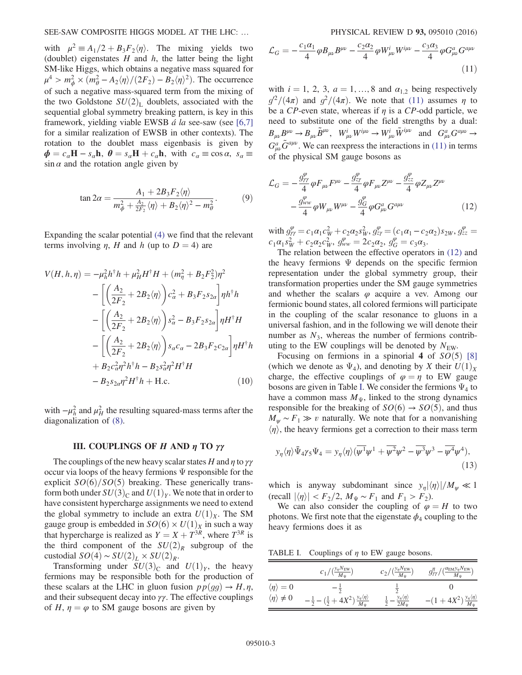<span id="page-3-0"></span>with  $\mu^2 = A_1/2 + B_3F_2\langle \eta \rangle$ . The mixing yields two (doublet) eigenstates  $H$  and  $h$ , the latter being the light SM-like Higgs, which obtains a negative mass squared for  $\mu^4 > m_\phi^2 \times (m_\theta^2 - A_2 \langle \eta \rangle / (2F_2) - B_2 \langle \eta \rangle^2)$ . The occurrence of such a negative mass-squared term from the mixing of the two Goldstone  $SU(2)<sub>L</sub>$  doublets, associated with the sequential global symmetry breaking pattern, is key in this framework, yielding viable EWSB  $\acute{a}$  la see-saw (see [\[6,7\]](#page-5-2) for a similar realization of EWSB in other contexts). The rotation to the doublet mass eigenbasis is given by  $\phi = c_{\alpha}H - s_{\alpha}h$ ,  $\theta = s_{\alpha}H + c_{\alpha}h$ , with  $c_{\alpha} \equiv \cos \alpha$ ,  $s_{\alpha} \equiv$  $\sin \alpha$  and the rotation angle given by

$$
\tan 2\alpha = \frac{A_1 + 2B_3 F_2 \langle \eta \rangle}{m_\phi^2 + \frac{A_2}{2F_2} \langle \eta \rangle + B_2 \langle \eta \rangle^2 - m_\theta^2}.
$$
 (9)

Expanding the scalar potential [\(4\)](#page-1-2) we find that the relevant terms involving  $\eta$ , H and h (up to  $D = 4$ ) are

$$
V(H, h, \eta) = -\mu_h^2 h^{\dagger} h + \mu_H^2 H^{\dagger} H + (m_\eta^2 + B_2 F_2^2) \eta^2
$$
  

$$
- \left[ \left( \frac{A_2}{2F_2} + 2B_2 \langle \eta \rangle \right) c_a^2 + B_3 F_2 s_{2a} \right] \eta h^{\dagger} h
$$
  

$$
- \left[ \left( \frac{A_2}{2F_2} + 2B_2 \langle \eta \rangle \right) s_a^2 - B_3 F_2 s_{2a} \right] \eta H^{\dagger} H
$$
  

$$
- \left[ \left( \frac{A_2}{2F_2} + 2B_2 \langle \eta \rangle \right) s_a c_a - 2B_3 F_2 c_{2a} \right] \eta H^{\dagger} h
$$
  

$$
+ B_2 c_a^2 \eta^2 h^{\dagger} h - B_2 s_a^2 \eta^2 H^{\dagger} H
$$
  

$$
- B_2 s_{2a} \eta^2 H^{\dagger} h + \text{H.c.}
$$
 (10)

with  $-\mu_h^2$  $\mu_h^2$  and  $\mu_H^2$  the resulting squared-mass terms after the diagonalization of [\(8\).](#page-1-4)

#### III. COUPLINGS OF H AND η TO γγ

The couplings of the new heavy scalar states H and  $\eta$  to  $\gamma\gamma$ occur via loops of the heavy fermions  $\Psi$  responsible for the explicit  $SO(6)/SO(5)$  breaking. These generically transform both under  $SU(3)_C$  and  $U(1)_Y$ . We note that in order to have consistent hypercharge assignments we need to extend the global symmetry to include an extra  $U(1)_X$ . The SM gauge group is embedded in  $SO(6) \times U(1)_X$  in such a way that hypercharge is realized as  $Y = X + T^{3R}$ , where  $T^{3R}$  is the third component of the  $SU(2)_R$  subgroup of the custodial  $SO(4) \sim SU(2)_L \times SU(2)_R$ .

Transforming under  $SU(3)_C$  and  $U(1)_Y$ , the heavy fermions may be responsible both for the production of these scalars at the LHC in gluon fusion  $pp(qq) \rightarrow H, \eta$ , and their subsequent decay into  $\gamma\gamma$ . The effective couplings of H,  $\eta = \varphi$  to SM gauge bosons are given by

$$
\mathcal{L}_G = -\frac{c_1 \alpha_1}{4} \varphi B_{\mu\nu} B^{\mu\nu} - \frac{c_2 \alpha_2}{4} \varphi W^i_{\mu\nu} W^{i\mu\nu} - \frac{c_3 \alpha_3}{4} \varphi G^a_{\mu\nu} G^{a\mu\nu}
$$
\n(11)

with  $i = 1, 2, 3, a = 1, \ldots, 8$  and  $\alpha_{1,2}$  being respectively  $g^2/(4\pi)$  and  $g^2/(4\pi)$ . We note that [\(11\)](#page-2-0) assumes  $\eta$  to be a CP-even state, whereas if  $\eta$  is a CP-odd particle, we need to substitute one of the field strengths by a dual:  $B_{\mu\nu}B^{\mu\nu} \to B_{\mu\nu}\tilde{B}^{\mu\nu}, \quad W^i_{\mu\nu}W^{i\mu\nu} \to W^i_{\mu\nu}\tilde{W}^{i\mu\nu} \quad \text{and} \quad G^a_{\mu\nu}G^{a\mu\nu} \to$  $G_{\mu\nu}^a \tilde{G}^{a\mu\nu}$ . We can reexpress the interactions in [\(11\)](#page-2-0) in terms of the physical SM gauge bosons as

$$
\mathcal{L}_G = -\frac{g_{\gamma\gamma}^{\varphi}}{4} \varphi F_{\mu\nu} F^{\mu\nu} - \frac{g_{z\gamma}^{\varphi}}{4} \varphi F_{\mu\nu} Z^{\mu\nu} - \frac{g_{zz}^{\varphi}}{4} \varphi Z_{\mu\nu} Z^{\mu\nu} - \frac{g_{ww}^{\varphi}}{4} \varphi W_{\mu\nu} W^{\mu\nu} - \frac{g_G^{\varphi}}{4} \varphi G_{\mu\nu}^a G^{a\mu\nu}
$$
\n(12)

with  $g_{\gamma\gamma}^{\varphi} = c_1 \alpha_1 c_W^2 + c_2 \alpha_2 s_W^2$ ,  $g_{z\gamma}^{\varphi} = (c_1 \alpha_1 - c_2 \alpha_2) s_{2W}$ ,  $g_{zz}^{\varphi} =$  $c_1\alpha_1 s_W^2 + c_2\alpha_2 c_W^2$ ,  $g_{ww}^{\varphi} = 2c_2\alpha_2$ ,  $g_G^{\varphi} = c_3\alpha_3$ .

The relation between the effective operators in [\(12\)](#page-2-1) and the heavy fermions  $\Psi$  depends on the specific fermion representation under the global symmetry group, their transformation properties under the SM gauge symmetries and whether the scalars  $\varphi$  acquire a vev. Among our fermionic bound states, all colored fermions will participate in the coupling of the scalar resonance to gluons in a universal fashion, and in the following we will denote their number as  $N_3$ , whereas the number of fermions contributing to the EW couplings will be denoted by  $N_{\text{EW}}$ .

<span id="page-3-1"></span>Focusing on fermions in a spinorial 4 of  $SO(5)$  [\[8\]](#page-5-3) (which we denote as  $\Psi_4$ ), and denoting by X their  $U(1)_X$ charge, the effective couplings of  $\varphi = \eta$  to EW gauge bosons are given in Table [I](#page-2-2). We consider the fermions  $\Psi_4$  to have a common mass  $M_{\Psi}$ , linked to the strong dynamics responsible for the breaking of  $SO(6) \rightarrow SO(5)$ , and thus  $M_{\psi} \sim F_1 \gg v$  naturally. We note that for a nonvanishing  $\langle \eta \rangle$ , the heavy fermions get a correction to their mass term

$$
y_{\eta} \langle \eta \rangle \bar{\Psi}_4 \gamma_5 \Psi_4 = y_{\eta} \langle \eta \rangle (\overline{\psi^1} \psi^1 + \overline{\psi^2} \psi^2 - \overline{\psi^3} \psi^3 - \overline{\psi^4} \psi^4), \tag{13}
$$

which is anyway subdominant since  $y_{\eta}|\langle \eta \rangle|/M_{\psi} \ll 1$  $(\text{recall } |\langle \eta \rangle| < F_2/2, M_{\Psi} \sim F_1 \text{ and } F_1 > F_2).$ 

We can also consider the coupling of  $\varphi = H$  to two photons. We first note that the eigenstate  $\phi_4$  coupling to the heavy fermions does it as

TABLE I. Couplings of  $\eta$  to EW gauge bosons.

|                               | $c_1/(\frac{y_\eta N_{\rm EW}}{M_\Psi})$                                                               | $c_2/(\frac{y_\eta N_{\rm EW}}{M_\Psi})$        | $g^{\eta}_{\gamma\gamma}/(\frac{\alpha_{\rm EM}y_\eta N_{\rm EW}}{M_\Psi})$ |
|-------------------------------|--------------------------------------------------------------------------------------------------------|-------------------------------------------------|-----------------------------------------------------------------------------|
| $\langle \eta \rangle = 0$    |                                                                                                        |                                                 |                                                                             |
| $\langle \eta \rangle \neq 0$ | $\left(\frac{1}{2}+4X^2\right)\frac{y_\eta\langle\eta\rangle}{M_\Psi}$<br>$-\frac{1}{2} - \frac{1}{1}$ | $-\frac{y_{\eta}\langle\eta\rangle}{2M_{\Psi}}$ | $-(1+4X^2)\frac{y_{\eta}\langle\eta\rangle}{M_{\Psi}}$                      |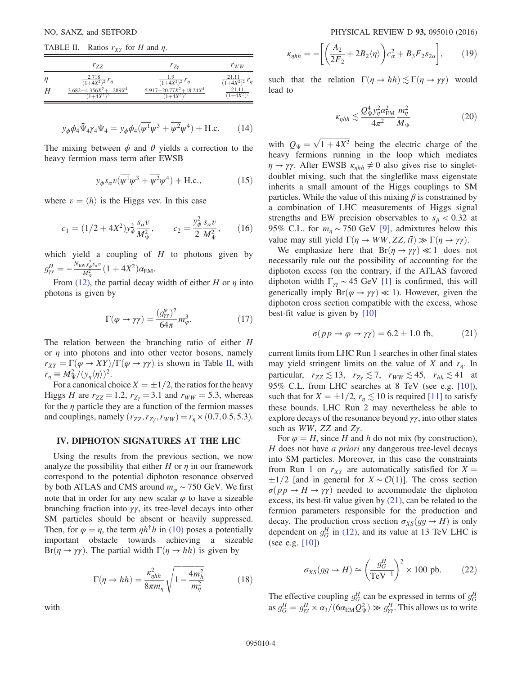TABLE II. Ratios  $r_{XY}$  for H and  $\eta$ .

<span id="page-4-3"></span>

|   | $r_{ZZ}$                                      | $r_{Zv}$                                      | $r_{WW}$                                 |
|---|-----------------------------------------------|-----------------------------------------------|------------------------------------------|
| n | $\frac{2.718}{(1+4X^2)^2}$ $r_\eta$           | $\frac{1.9}{(1+4X^2)^2}$ $\mathbf{r}_{\eta}$  | 21.11<br>$\frac{21.11}{1+4X^2}$ $r_\eta$ |
|   | $3.682 + 4.356X^2 + 1.289X^4$<br>$(1+4X^2)^2$ | $5.917 + 20.77X^2 + 18.24X^4$<br>$(1+4X^2)^2$ | 21.11<br>$+4X^2$                         |

$$
y_{\phi}\phi_4 \bar{\Psi}_4 \gamma_4 \Psi_4 = y_{\phi}\phi_4(\overline{\psi^1}\psi^3 + \overline{\psi^2}\psi^4) + \text{H.c.}
$$
 (14)

The mixing between  $\phi$  and  $\theta$  yields a correction to the heavy fermion mass term after EWSB

$$
y_{\phi} s_{\alpha} v(\overline{\psi^1} \psi^3 + \overline{\psi^2} \psi^4) + \text{H.c.}, \qquad (15)
$$

where  $v = \langle h \rangle$  is the Higgs vev. In this case

$$
c_1 = (1/2 + 4X^2)y_{\phi}^2 \frac{s_{\alpha}v}{M_{\Psi}^2}, \qquad c_2 = \frac{y_{\phi}^2}{2} \frac{s_{\alpha}v}{M_{\Psi}^2}, \qquad (16)
$$

which yield a coupling of  $H$  to photons given by  $g_{\gamma\gamma}^H=-\frac{N_{\rm EW}y_\phi^2s_\alpha v}{M_\Psi^2}$  $\frac{N\mathcal{Y}^z_\phi s_\alpha v}{M_\Psi^2} (1+4X^2)\alpha_{\text{EM}}.$ 

From [\(12\)](#page-2-1), the partial decay width of either H or  $\eta$  into photons is given by

$$
\Gamma(\varphi \to \gamma \gamma) = \frac{(g_{\gamma \gamma}^{\varphi})^2}{64\pi} m_{\varphi}^3. \tag{17}
$$

The relation between the branching ratio of either H or  $\eta$  into photons and into other vector bosons, namely  $r_{XY} = \Gamma(\varphi \to XY)/\Gamma(\varphi \to \gamma \gamma)$  is shown in Table [II](#page-3-0), with  $r_{\eta} \equiv M_{\Psi}^2/(y_{\eta} \langle \eta \rangle)^2$ .

For a canonical choice  $X = \pm 1/2$ , the ratios for the heavy Higgs H are  $r_{ZZ} = 1.2$ ,  $r_{Z\gamma} = 3.1$  and  $r_{WW} = 5.3$ , whereas for the  $\eta$  particle they are a function of the fermion masses and couplings, namely  $(r_{ZZ}, r_{Z\gamma}, r_{WW}) = r_{\eta} \times (0.7, 0.5, 5.3)$ .

#### IV. DIPHOTON SIGNATURES AT THE LHC

Using the results from the previous section, we now analyze the possibility that either  $H$  or  $\eta$  in our framework correspond to the potential diphoton resonance observed by both ATLAS and CMS around  $m_{\omega} \sim 750$  GeV. We first note that in order for any new scalar  $\varphi$  to have a sizeable branching fraction into  $\gamma\gamma$ , its tree-level decays into other SM particles should be absent or heavily suppressed. Then, for  $\varphi = \eta$ , the term  $\eta h^{\dagger} h$  in [\(10\)](#page-2-3) poses a potentially important obstacle towards achieving a sizeable Br( $\eta \rightarrow \gamma \gamma$ ). The partial width  $\Gamma(\eta \rightarrow hh)$  is given by

$$
\Gamma(\eta \to hh) = \frac{\kappa_{\eta hh}^2}{8\pi m_\eta} \sqrt{1 - \frac{4m_h^2}{m_\eta^2}}
$$
(18)

<span id="page-4-1"></span><span id="page-4-0"></span>with

$$
\kappa_{\eta h h} = -\bigg[\bigg(\frac{A_2}{2F_2} + 2B_2\langle\eta\rangle\bigg)c_\alpha^2 + B_3F_2s_{2\alpha}\bigg],\qquad(19)
$$

such that the relation  $\Gamma(\eta \to hh) \lesssim \Gamma(\eta \to \gamma \gamma)$  would lead to

$$
\kappa_{\eta h h} \lesssim \frac{Q_{\Psi}^4 y_{\eta}^2 \alpha_{\rm EM}^2}{4\pi^2} \frac{m_{\eta}^2}{M_{\Psi}}
$$
(20)

with  $Q_{\Psi} = \sqrt{1 + 4X^2}$  being the electric charge of the heavy fermions running in the loop which mediates  $\eta \rightarrow \gamma \gamma$ . After EWSB  $\kappa_{nhh} \neq 0$  also gives rise to singletdoublet mixing, such that the singletlike mass eigenstate inherits a small amount of the Higgs couplings to SM particles. While the value of this mixing  $\beta$  is constrained by a combination of LHC measurements of Higgs signal strengths and EW precision observables to  $s_\beta < 0.32$  at 95% C.L. for  $m_n \sim 750$  GeV [\[9\],](#page-5-4) admixtures below this value may still yield  $\Gamma(\eta \to WW, ZZ, t\bar{t}) \gg \Gamma(\eta \to \gamma \gamma)$ .

We emphasize here that  $Br(\eta \to \gamma \gamma) \ll 1$  does not necessarily rule out the possibility of accounting for the diphoton excess (on the contrary, if the ATLAS favored diphoton width  $\Gamma_{\gamma\gamma} \sim 45$  GeV [\[1\]](#page-4-0) is confirmed, this will generically imply  $Br(\varphi \to \gamma \gamma) \ll 1$ ). However, given the diphoton cross section compatible with the excess, whose best-fit value is given by [\[10\]](#page-5-5)

$$
\sigma(pp \to \varphi \to \gamma\gamma) = 6.2 \pm 1.0 \text{ fb}, \tag{21}
$$

current limits from LHC Run 1 searches in other final states may yield stringent limits on the value of X and  $r_{\eta}$ . In particular,  $r_{ZZ} \lesssim 13$ ,  $r_{Z\gamma} \lesssim 7$ ,  $r_{WW} \lesssim 45$ ,  $r_{hh} \lesssim 41$  at 95% C.L. from LHC searches at 8 TeV (see e.g. [\[10\]](#page-5-5)), such that for  $X = \pm 1/2$ ,  $r_n \lesssim 10$  is required [\[11\]](#page-5-6) to satisfy these bounds. LHC Run 2 may nevertheless be able to explore decays of the resonance beyond  $\gamma\gamma$ , into other states such as  $WW$ , ZZ and Z $\gamma$ .

For  $\varphi = H$ , since H and h do not mix (by construction), H does not have a priori any dangerous tree-level decays into SM particles. Moreover, in this case the constraints from Run 1 on  $r_{XY}$  are automatically satisfied for  $X =$  $\pm 1/2$  [and in general for  $X \sim \mathcal{O}(1)$ ]. The cross section  $\sigma(pp \to H \to \gamma\gamma)$  needed to accommodate the diphoton excess, its best-fit value given by [\(21\),](#page-3-1) can be related to the fermion parameters responsible for the production and decay. The production cross section  $\sigma_{XS}(gg \to H)$  is only dependent on  $g_G^H$  in [\(12\),](#page-2-1) and its value at 13 TeV LHC is (see e.g. [\[10\]](#page-5-5))

$$
\sigma_{XS}(gg \to H) \simeq \left(\frac{g_G^H}{\text{TeV}^{-1}}\right)^2 \times 100 \text{ pb.} \tag{22}
$$

<span id="page-4-2"></span>The effective coupling  $g_G^H$  can be expressed in terms of  $g_G^H$ as  $g_G^H = g_{\gamma\gamma}^H \times \alpha_3 / (6\alpha_{\text{EM}} Q_{\Psi}^2) \gg g_{\gamma\gamma}^H$ . This allows us to write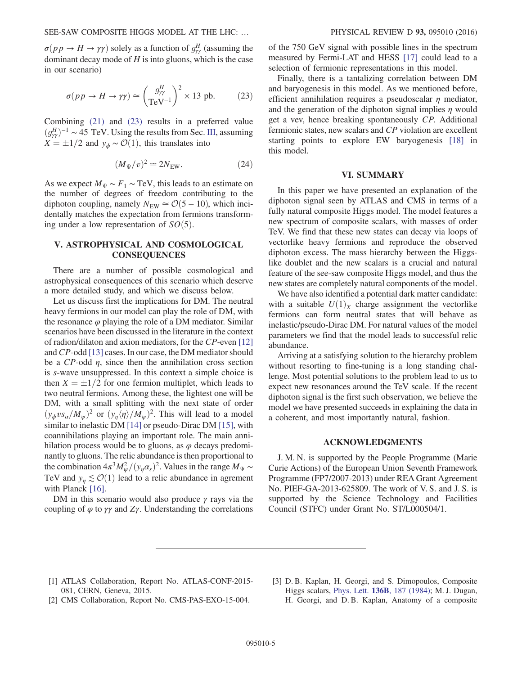$\sigma(p \, p \rightarrow H \rightarrow \gamma \gamma)$  solely as a function of  $g_{\gamma\gamma}^H$  (assuming the dominant decay mode of  $H$  is into gluons, which is the case in our scenario)

<span id="page-5-0"></span>
$$
\sigma(pp \to H \to \gamma\gamma) \simeq \left(\frac{g_{\gamma\gamma}^H}{\text{TeV}^{-1}}\right)^2 \times 13 \text{ pb.} \tag{23}
$$

<span id="page-5-2"></span><span id="page-5-1"></span>Combining [\(21\)](#page-3-1) and [\(23\)](#page-4-3) results in a preferred value  $(g_{\gamma\gamma}^H)^{-1} \sim 45 \text{ TeV}$ . Using the results from Sec. [III](#page-2-4), assuming  $X = \pm 1/2$  and  $y_{\phi} \sim \mathcal{O}(1)$ , this translates into

$$
(M_{\Psi}/v)^2 \simeq 2N_{\text{EW}}.\tag{24}
$$

<span id="page-5-4"></span><span id="page-5-3"></span>As we expect  $M_{\Psi} \sim F_1 \sim \text{TeV}$ , this leads to an estimate on the number of degrees of freedom contributing to the diphoton coupling, namely  $N_{\text{EW}} \approx \mathcal{O}(5 - 10)$ , which incidentally matches the expectation from fermions transforming under a low representation of  $SO(5)$ .

#### <span id="page-5-5"></span>V. ASTROPHYSICAL AND COSMOLOGICAL **CONSEQUENCES**

<span id="page-5-6"></span>There are a number of possible cosmological and astrophysical consequences of this scenario which deserve a more detailed study, and which we discuss below.

<span id="page-5-7"></span>Let us discuss first the implications for DM. The neutral heavy fermions in our model can play the role of DM, with the resonance  $\varphi$  playing the role of a DM mediator. Similar scenarios have been discussed in the literature in the context of radion/dilaton and axion mediators, for the CP-even [\[12\]](#page-5-7) and CP-odd [\[13\]](#page-5-8) cases. In our case, the DM mediator should be a  $CP$ -odd  $\eta$ , since then the annihilation cross section is s-wave unsuppressed. In this context a simple choice is then  $X = \pm 1/2$  for one fermion multiplet, which leads to two neutral fermions. Among these, the lightest one will be DM, with a small splitting with the next state of order  $(y_{\phi} v s_{\alpha}/M_{\psi})^2$  or  $(y_{\eta} \langle \eta \rangle / M_{\psi})^2$ . This will lead to a model similar to inelastic DM [\[14\]](#page-5-9) or pseudo-Dirac DM [\[15\],](#page-5-10) with coannihilations playing an important role. The main annihilation process would be to gluons, as  $\varphi$  decays predominantly to gluons. The relic abundance is then proportional to the combination  $4\pi^3 M_\psi^2/(\gamma_\eta \alpha_s)^2$ . Values in the range  $M_\Psi \sim$ TeV and  $y_n \lesssim \mathcal{O}(1)$  lead to a relic abundance in agrement with Planck [\[16\]](#page-5-11).

DM in this scenario would also produce  $\gamma$  rays via the coupling of  $\varphi$  to  $\gamma\gamma$  and  $Z\gamma$ . Understanding the correlations <span id="page-5-8"></span>of the 750 GeV signal with possible lines in the spectrum measured by Fermi-LAT and HESS [\[17\]](#page-5-12) could lead to a selection of fermionic representations in this model.

<span id="page-5-9"></span>Finally, there is a tantalizing correlation between DM and baryogenesis in this model. As we mentioned before, efficient annihilation requires a pseudoscalar  $\eta$  mediator, and the generation of the diphoton signal implies  $\eta$  would get a vev, hence breaking spontaneously CP. Additional fermionic states, new scalars and CP violation are excellent starting points to explore EW baryogenesis [\[18\]](#page-5-13) in this model.

#### VI. SUMMARY

<span id="page-5-12"></span><span id="page-5-11"></span><span id="page-5-10"></span>In this paper we have presented an explanation of the diphoton signal seen by ATLAS and CMS in terms of a fully natural composite Higgs model. The model features a new spectrum of composite scalars, with masses of order TeV. We find that these new states can decay via loops of vectorlike heavy fermions and reproduce the observed diphoton excess. The mass hierarchy between the Higgslike doublet and the new scalars is a crucial and natural feature of the see-saw composite Higgs model, and thus the new states are completely natural components of the model.

<span id="page-5-13"></span>We have also identified a potential dark matter candidate: with a suitable  $U(1)_X$  charge assignment the vectorlike fermions can form neutral states that will behave as inelastic/pseudo-Dirac DM. For natural values of the model parameters we find that the model leads to successful relic abundance.

Arriving at a satisfying solution to the hierarchy problem without resorting to fine-tuning is a long standing challenge. Most potential solutions to the problem lead to us to expect new resonances around the TeV scale. If the recent diphoton signal is the first such observation, we believe the model we have presented succeeds in explaining the data in a coherent, and most importantly natural, fashion.

#### ACKNOWLEDGMENTS

J. M. N. is supported by the People Programme (Marie Curie Actions) of the European Union Seventh Framework Programme (FP7/2007-2013) under REA Grant Agreement No. PIEF-GA-2013-625809. The work of V. S. and J. S. is supported by the Science Technology and Facilities Council (STFC) under Grant No. ST/L000504/1.

- [1] ATLAS Collaboration, Report No. ATLAS-CONF-2015- 081, CERN, Geneva, 2015.
- [2] CMS Collaboration, Report No. CMS-PAS-EXO-15-004.
- [3] D. B. Kaplan, H. Georgi, and S. Dimopoulos, Composite Higgs scalars, Phys. Lett. 136B[, 187 \(1984\);](http://dx.doi.org/10.1016/0370-2693(84)91178-X) M. J. Dugan, H. Georgi, and D. B. Kaplan, Anatomy of a composite